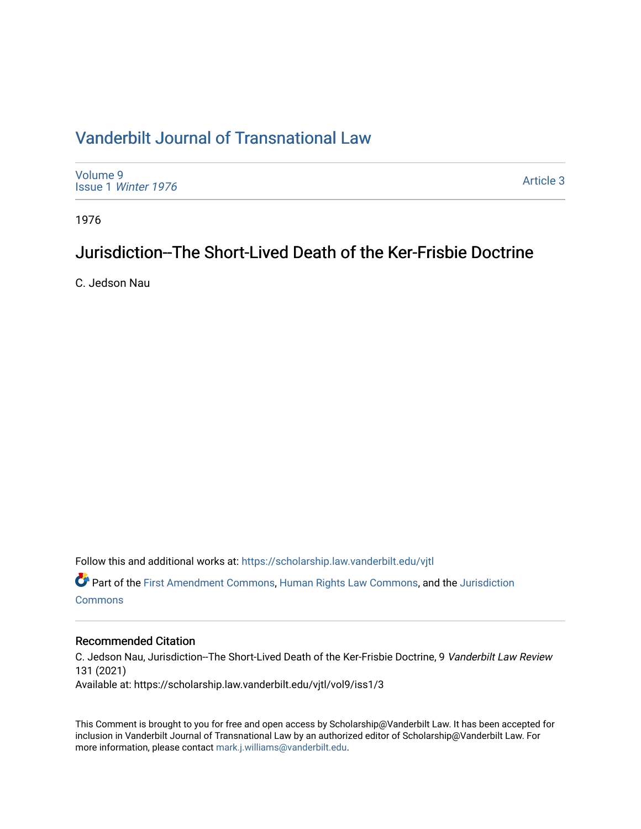# [Vanderbilt Journal of Transnational Law](https://scholarship.law.vanderbilt.edu/vjtl)

[Volume 9](https://scholarship.law.vanderbilt.edu/vjtl/vol9) Issue 1 [Winter 1976](https://scholarship.law.vanderbilt.edu/vjtl/vol9/iss1) 

[Article 3](https://scholarship.law.vanderbilt.edu/vjtl/vol9/iss1/3) 

1976

# Jurisdiction--The Short-Lived Death of the Ker-Frisbie Doctrine

C. Jedson Nau

Follow this and additional works at: [https://scholarship.law.vanderbilt.edu/vjtl](https://scholarship.law.vanderbilt.edu/vjtl?utm_source=scholarship.law.vanderbilt.edu%2Fvjtl%2Fvol9%2Fiss1%2F3&utm_medium=PDF&utm_campaign=PDFCoverPages) 

Part of the [First Amendment Commons,](https://network.bepress.com/hgg/discipline/1115?utm_source=scholarship.law.vanderbilt.edu%2Fvjtl%2Fvol9%2Fiss1%2F3&utm_medium=PDF&utm_campaign=PDFCoverPages) [Human Rights Law Commons](https://network.bepress.com/hgg/discipline/847?utm_source=scholarship.law.vanderbilt.edu%2Fvjtl%2Fvol9%2Fiss1%2F3&utm_medium=PDF&utm_campaign=PDFCoverPages), and the [Jurisdiction](https://network.bepress.com/hgg/discipline/850?utm_source=scholarship.law.vanderbilt.edu%2Fvjtl%2Fvol9%2Fiss1%2F3&utm_medium=PDF&utm_campaign=PDFCoverPages)  **[Commons](https://network.bepress.com/hgg/discipline/850?utm_source=scholarship.law.vanderbilt.edu%2Fvjtl%2Fvol9%2Fiss1%2F3&utm_medium=PDF&utm_campaign=PDFCoverPages)** 

## Recommended Citation

C. Jedson Nau, Jurisdiction--The Short-Lived Death of the Ker-Frisbie Doctrine, 9 Vanderbilt Law Review 131 (2021) Available at: https://scholarship.law.vanderbilt.edu/vjtl/vol9/iss1/3

This Comment is brought to you for free and open access by Scholarship@Vanderbilt Law. It has been accepted for inclusion in Vanderbilt Journal of Transnational Law by an authorized editor of Scholarship@Vanderbilt Law. For more information, please contact [mark.j.williams@vanderbilt.edu](mailto:mark.j.williams@vanderbilt.edu).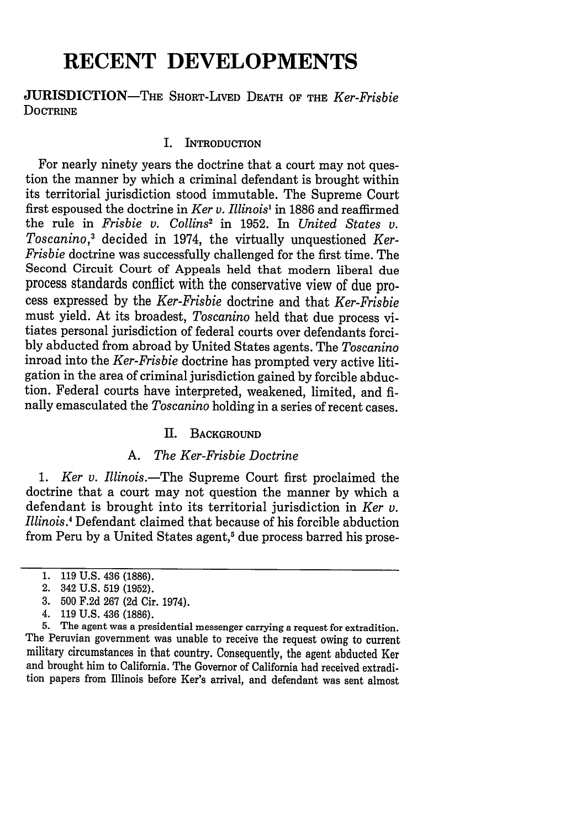# **RECENT DEVELOPMENTS**

## **JURISDICTION-THE** SHORT-LIVED DEATH OF THE *Ker-Frisbie* **DOCTRINE**

## I. INTRODUCTION

For nearly ninety years the doctrine that a court may not ques- tion the manner by which a criminal defendant is brought within its territorial jurisdiction stood immutable. The Supreme Court first espoused the doctrine in *Ker v. Illinois'* in 1886 and reaffirmed the rule in *Frisbie v. Collins2* in 1952. In *United States v. Toscanino,3* decided in 1974, the virtually unquestioned *Ker-Frisbie* doctrine was successfully challenged for the first time. The Second Circuit Court of Appeals held that modern liberal due process standards conflict with the conservative view of due process expressed by the *Ker-Frisbie* doctrine and that *Ker-Frisbie* must yield. At its broadest, *Toscanino* held that due process vitiates personal jurisdiction of federal courts over defendants forcibly abducted from abroad by United States agents. The *Toscanino* inroad into the *Ker-Frisbie* doctrine has prompted very active litigation in the area of criminal jurisdiction gained by forcible abduction. Federal courts have interpreted, weakened, limited, and finally emasculated the *Toscanino* holding in a series of recent cases.

## II. BACKGROUND

## *A. The Ker-Frisbie Doctrine*

*1. Ker v. Illinois.-The* Supreme Court first proclaimed the doctrine that a court may not question the manner by which a defendant is brought into its territorial jurisdiction in *Ker v. Illinois.4* Defendant claimed that because of his forcible abduction from Peru by a United States agent,<sup>5</sup> due process barred his prose-

5. The agent was a presidential messenger carrying a request for extradition. The Peruvian government was unable to receive the request owing to current military circumstances in that country. Consequently, the agent abducted Ker and brought him to California. The Governor of California had received extradition papers from Illinois before Ker's arrival, and defendant was sent almost

<sup>1. 119</sup> U.S. 436 (1886).

<sup>2. 342</sup> U.S. 519 (1952).

<sup>3. 500</sup> F.2d 267 (2d Cir. 1974).

<sup>4. 119</sup> U.S. 436 (1886).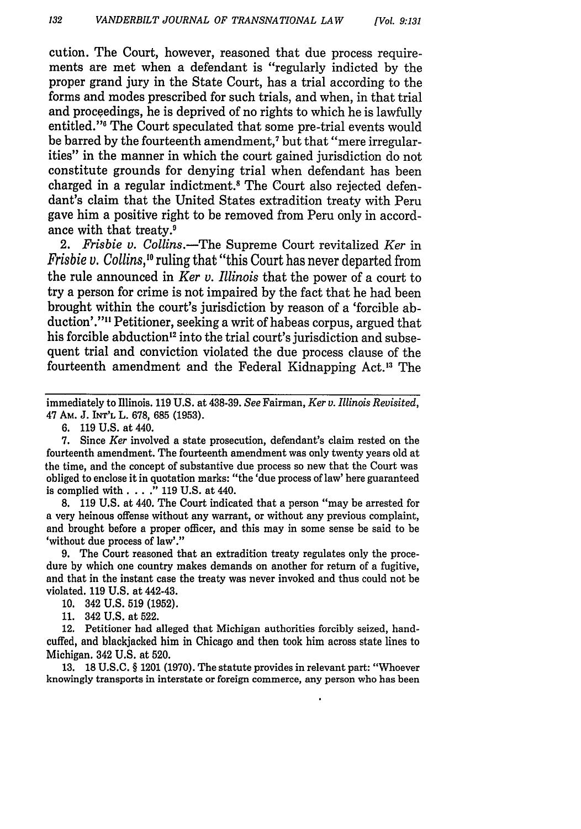cution. The Court, however, reasoned that due process requirements are met when a defendant is "regularly indicted by the proper grand jury in the State Court, has a trial according to the forms and modes prescribed for such trials, and when, in that trial and proceedings, he is deprived of no rights to which he is lawfully entitled."<sup>6</sup> The Court speculated that some pre-trial events would be barred by the fourteenth amendment,7 but that "mere irregularities" in the manner in which the court gained jurisdiction do not constitute grounds for denying trial when defendant has been charged in a regular indictment.<sup>8</sup> The Court also rejected defendant's claim that the United States extradition treaty with Peru gave him a positive right to be removed from Peru only in accordance with that treaty.'

*2. Frisbie v. Collins.-The* Supreme Court revitalized *Ker* in *Frisbie v. Collins,'"* ruling that "this Court has never departed from the rule announced in *Ker v. Illinois* that the power of a court to try a person for crime is not impaired by the fact that he had been brought within the court's jurisdiction by reason of a 'forcible abduction'."" Petitioner, seeking a writ of habeas corpus, argued that his forcible abduction<sup>12</sup> into the trial court's jurisdiction and subsequent trial and conviction violated the due process clause of the fourteenth amendment and the Federal Kidnapping Act.'3 The

6. 119 U.S. at 440.

7. Since *Ker* involved a state prosecution, defendant's claim rested on the fourteenth amendment. The fourteenth amendment was only twenty years old at the time, and the concept of substantive due process so new that the Court was obliged to enclose it in quotation marks: "the 'due process of law' here guaranteed is complied with. . . **."** 119 U.S. at 440.

8. 119 U.S. at 440. The Court indicated that a person "may be arrested for a very heinous offense without any warrant, or without any previous complaint, and brought before a proper officer, and this may in some sense be said to be 'without due process of law'."

9. The Court reasoned that an extradition treaty regulates only the procedure by which one country makes demands on another for return of a fugitive, and that in the instant case the treaty was never invoked and thus could not be violated. 119 **U.S.** at 442-43.

10. 342 U.S. 519 (1952).

11. 342 U.S. at 522.

12. Petitioner had alleged that Michigan authorities forcibly seized, handcuffed, and blackjacked him in Chicago and then took him across state lines to Michigan. 342 U.S. at 520.

13. 18 U.S.C. § 1201 (1970). The statute provides in relevant part: "Whoever knowingly transports in interstate or foreign commerce, any person who has been

immediately to Illinois. **119 U.S.** at **438-39.** *See* Fairman, *Ker v. Illinois Revisited,* 47 Am. **J. INT'L** L. 678, **685 (1953).**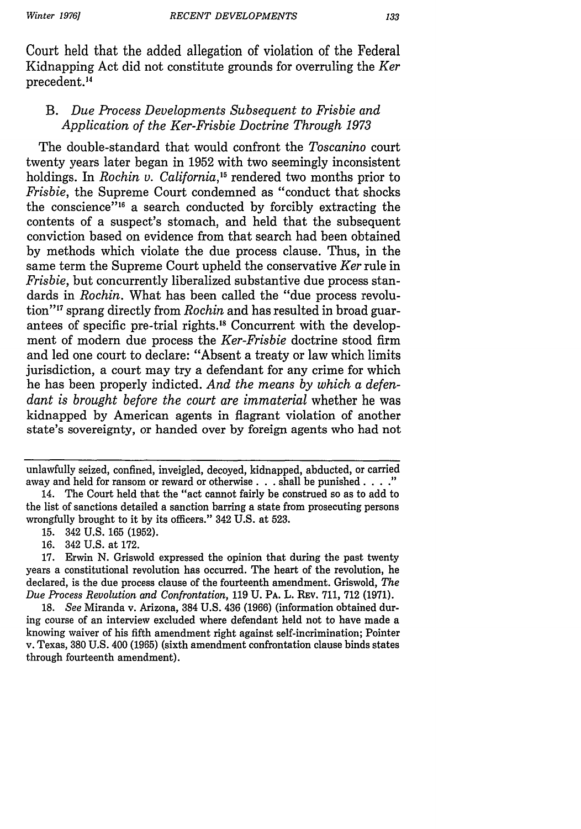133

Court held that the added allegation of violation of the Federal Kidnapping Act did not constitute grounds for overruling the *Ker* precedent.<sup>14</sup>

## B. *Due Process Developments Subsequent to Frisbie and Application of the Ker-Frisbie Doctrine Through 1973*

The double-standard that would confront the *Toscanino* court twenty years later began in 1952 with two seemingly inconsistent holdings. In *Rochin v. California*,<sup>15</sup> rendered two months prior to *Frisbie,* the Supreme Court condemned as "conduct that shocks the conscience"<sup>16</sup> a search conducted by forcibly extracting the contents of a suspect's stomach, and held that the subsequent conviction based on evidence from that search had been obtained by methods which violate the due process clause. Thus, in the same term the Supreme Court upheld the conservative *Ker* rule in *Frisbie,* but concurrently liberalized substantive due process standards in *Rochin.* What has been called the "due process revolution"<sup>17</sup> sprang directly from *Rochin* and has resulted in broad guarantees of specific pre-trial rights.<sup>18</sup> Concurrent with the development of modern due process the *Ker-Frisbie* doctrine stood firm and led one court to declare: "Absent a treaty or law which limits jurisdiction, a court may try a defendant for any crime for which he has been properly indicted. *And the means by which a defendant is brought before the court are immaterial* whether he was kidnapped by American agents in flagrant violation of another state's sovereignty, or handed over by foreign agents who had not

unlawfully seized, confined, inveigled, decoyed, kidnapped, abducted, or carried away and held for ransom or reward or otherwise **.** . . **shall be punished .** . . ."

18. *See* Miranda v. Arizona, 384 U.S. 436 (1966) (information obtained during course of an interview excluded where defendant held not to have made a knowing waiver of his fifth amendment right against self-incrimination; Pointer v. Texas, 380 U.S. 400 (1965) (sixth amendment confrontation clause binds states through fourteenth amendment).

<sup>14.</sup> The Court held that the "act cannot fairly be construed so as to add to the list of sanctions detailed a sanction barring a state from prosecuting persons wrongfully brought to it by its officers." 342 U.S. at 523.

<sup>15. 342</sup> U.S. 165 (1952).

<sup>16. 342</sup> U.S. at 172.

<sup>17.</sup> Erwin N. Griswold expressed the opinion that during the past twenty years a constitutional revolution has occurred. The heart of the revolution, he declared, is the due process clause of the fourteenth amendment. Griswold, *The Due Process Revolution and Confrontation,* 119 U. PA. L. REv. 711, 712 (1971).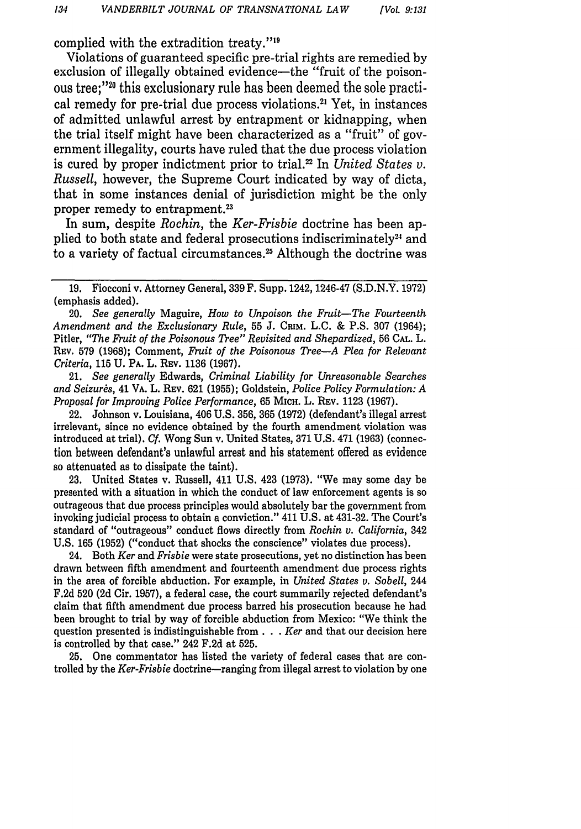complied with the extradition treaty."<sup>19</sup>

Violations of guaranteed specific pre-trial rights are remedied by exclusion of illegally obtained evidence—the "fruit of the poisonous tree;"<sup>20</sup> this exclusionary rule has been deemed the sole practical remedy for pre-trial due process violations.2' Yet, in instances of admitted unlawful arrest by entrapment or kidnapping, when the trial itself might have been characterized as a "fruit" of government illegality, courts have ruled that the due process violation is cured by proper indictment prior to trial. 22 In *United States v. Russell,* however, the Supreme Court indicated by way of dicta, that in some instances denial of jurisdiction might be the only proper remedy to entrapment.<sup>23</sup>

In sum, despite *Rochin,* the *Ker-Frisbie* doctrine has been applied to both state and federal prosecutions indiscriminately<sup>24</sup> and to a variety of factual circumstances.<sup>25</sup> Although the doctrine was

20. *See generally* Maguire, *How to Unpoison the Fruit-The Fourteenth* Amendment and the Exclusionary Rule, 55 J. CRIM. L.C. & P.S. 307 (1964); Pitler, *"The Fruit of the Poisonous Tree" Revisited and Shepardized,* 56 CAL. L. REV. 579 (1968); Comment, *Fruit of the Poisonous Tree-A Plea for Relevant Criteria,* 115 U. PA. L. REV. 1136 (1967).

21. *See generally* Edwards, *Criminal Liability for Unreasonable Searches and Seizures,* 41 VA. L. REV. 621 (1955); Goldstein, *Police Policy Formulation: A Proposal for Improving Police Performance,* 65 **MIcH.** L. REV. 1123 (1967).

22. Johnson v. Louisiana, 406 U.S. 356, 365 (1972) (defendant's illegal arrest irrelevant, since no evidence obtained by the fourth amendment violation was introduced at trial). *Cf.* Wong Sun v. United States, 371 U.S. 471 (1963) (connection between defendant's unlawful arrest and his statement offered as evidence so attenuated as to dissipate the taint).

23. United States v. Russell, 411 U.S. 423 (1973). "We may some day be presented with a situation in which the conduct of law enforcement agents is so outrageous that due process principles would absolutely bar the government from invoking judicial process to obtain a conviction." 411 U.S. at 431-32. The Court's standard of "outrageous" conduct flows directly from *Rochin v. California,* 342 U.S. 165 (1952) ("conduct that shocks the conscience" violates due process).

24. Both *Ker* and *Frisbie* were state prosecutions, yet no distinction has been drawn between fifth amendment and fourteenth amendment due process rights in the area of forcible abduction. For example, in *United States v. Sobell,* 244 F.2d 520 (2d Cir. 1957), a federal case, the court summarily rejected defendant's claim that fifth amendment due process barred his prosecution because he had been brought to trial by way of forcible abduction from Mexico: "We think the question presented is indistinguishable from **. .** .*Ker* and that our decision here is controlled by that case." 242 F.2d at 525.

25. One commentator has listed the variety of federal cases that are controlled by the *Ker-Frisbie* doctrine-ranging from illegal arrest to violation by one

<sup>19.</sup> Fiocconi v. Attorney General, 339 F. Supp. 1242, 1246-47 (S.D.N.Y. 1972) (emphasis added).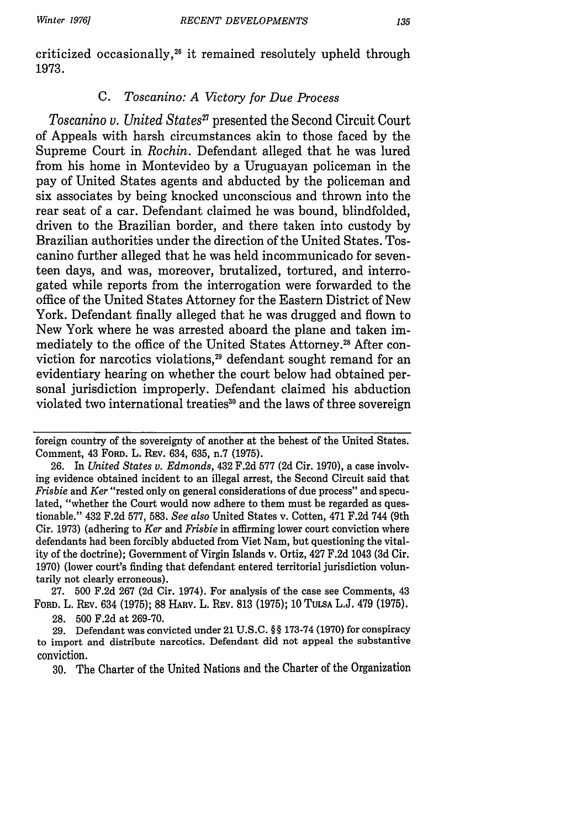criticized occasionally,28 it remained resolutely upheld through 1973.

## *C. Toscanino: A Victory for Due Process*

*Toscanino v. United States"* presented the Second Circuit Court of Appeals with harsh circumstances akin to those faced by the Supreme Court in *Rochin.* Defendant alleged that he was lured from his home in Montevideo by a Uruguayan policeman in the pay of United States agents and abducted by the policeman and six associates by being knocked unconscious and thrown into the rear seat of a car. Defendant claimed he was bound, blindfolded, driven to the Brazilian border, and there taken into custody by Brazilian authorities under the direction of the United States. Toscanino further alleged that he was held incommunicado for seventeen days, and was, moreover, brutalized, tortured, and interrogated while reports from the interrogation were forwarded to the office of the United States Attorney for the Eastern District of New York. Defendant finally alleged that he was drugged and flown to New York where he was arrested aboard the plane and taken immediately to the office of the United States Attorney.<sup>28</sup> After conviction for narcotics violations,<sup>29</sup> defendant sought remand for an evidentiary hearing on whether the court below had obtained personal jurisdiction improperly. Defendant claimed his abduction violated two international treaties<sup>30</sup> and the laws of three sovereign

foreign country of the sovereignty of another at the behest of the United States. Comment, 43 FORD. L. REV. 634, 635, n.7 (1975).

<sup>26.</sup> In *United States v. Edmonds,* 432 F.2d 577 (2d Cir. 1970), a case involving evidence obtained incident to an illegal arrest, the Second Circuit said that *Frisbie* and *Ker* "rested only on general considerations of due process" and speculated, "whether the Court would now adhere to them must be regarded as questionable." 432 F.2d 577, 583. *See also* United States v. Cotten, 471 F.2d 744 (9th Cir. **1973)** (adhering to *Ker and Frisbie* in affirming lower court conviction where defendants had been forcibly abducted from Viet Nam, but questioning the vitality of the doctrine); Government of Virgin Islands v. Ortiz, 427 F.2d 1043 (3d Cir. 1970) (lower court's finding that defendant entered territorial jurisdiction voluntarily not clearly erroneous).

<sup>27. 500</sup> F.2d 267 (2d Cir. 1974). For analysis of the case see Comments, 43 FORD. L. Rav. 634 (1975); 88 **HARV.** L. REv. **813 (1975); 10 TULSA L.J.** 479 **(1975). 28. 500 F.2d** at **269-70.**

**<sup>29.</sup>** Defendant was convicted under 21 **U.S.C.** §§ **173-74 (1970)** for conspiracy to import and distribute narcotics. Defendant did not appeal the substantive conviction.

<sup>30.</sup> The Charter of the United Nations and the Charter of the Organization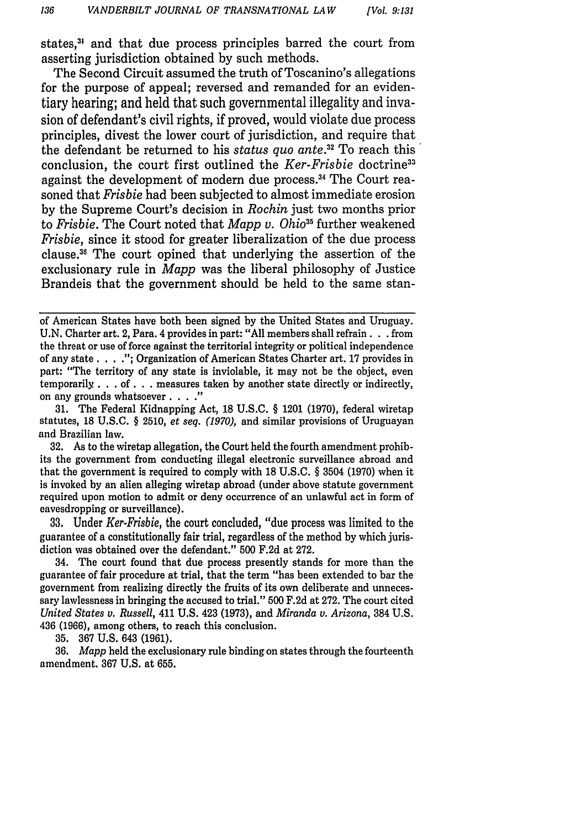states,<sup>31</sup> and that due process principles barred the court from asserting jurisdiction obtained by such methods.

The Second Circuit assumed the truth of Toscanino's allegations for the purpose of appeal; reversed and remanded for an evidentiary hearing; and held that such governmental illegality and invasion of defendant's civil rights, if proved, would violate due process principles, divest the lower court of jurisdiction, and require that the defendant be returned to his *status quo ante.2* To reach this conclusion, the court first outlined the *Ker-Frisbie* doctrine3 against the development of modern due process **. 3** The Court reasoned that *Frisbie* had been subjected to almost immediate erosion by the Supreme Court's decision in *Rochin* just two months prior to *Frisbie*. The Court noted that *Mapp v. Ohio*<sup>35</sup> further weakened *Frisbie,* since it stood for greater liberalization of the due process clause.36 The court opined that underlying the assertion of the exclusionary rule in *Mapp* was the liberal philosophy of Justice Brandeis that the government should be held to the same stan-

31. The Federal Kidnapping Act, 18 U.S.C. § 1201 (1970), federal wiretap statutes, 18 U.S.C. § 2510, *et seq. (1970),* and similar provisions of Uruguayan and Brazilian law.

32. As to the wiretap allegation, the Court held the fourth amendment prohibits the government from conducting illegal electronic surveillance abroad and that the government is required to comply with 18 U.S.C. § 3504 (1970) when it is invoked by an alien alleging wiretap abroad (under above statute government required upon motion to admit or deny occurrence of an unlawful act in form of eavesdropping or surveillance).

33. Under *Ker-Frisbie,* the court concluded, "due process was limited to the guarantee of a constitutionally fair trial, regardless of the method by which jurisdiction was obtained over the defendant." 500 F.2d at 272.

34. The court found that due process presently stands for more than the guarantee of fair procedure at trial, that the term "has been extended to bar the government from realizing directly the fruits of its own deliberate and unnecessary lawlessness in bringing the accused to trial." 500 F.2d at 272. The court cited *United States v. Russell,* 411 U.S. 423 (1973), and *Miranda v. Arizona,* 384 U.S. 436 (1966), among others, to reach this conclusion.

35. 367 U.S. 643 (1961).

36. *Mapp* held the exclusionary rule binding on states through the fourteenth amendment. 367 U.S. at 655.

of American States have both been signed by the United States and Uruguay. U.N. Charter art. 2, Para. 4 provides in part: "All members shall refrain **...** from the threat or use of force against the territorial integrity or political independence of any state **... .";** Organization of American States Charter art. 17 provides in part: "The territory of any state is inviolable, it may not be the object, even temporarily ... of **...** measures taken by another state directly or indirectly, on any grounds whatsoever **......**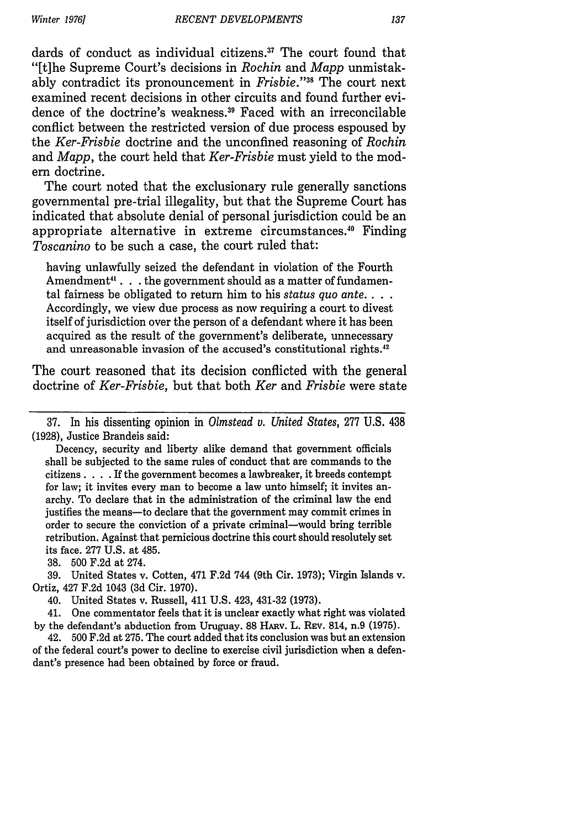dards of conduct as individual citizens.<sup>37</sup> The court found that "[t]he Supreme Court's decisions in *Rochin* and *Mapp* unmistakably contradict its pronouncement in *Frisbie."8* The court next examined recent decisions in other circuits and found further evidence of the doctrine's weakness.<sup>39</sup> Faced with an irreconcilable conflict between the restricted version of due process espoused by the *Ker-Frisbie* doctrine and the unconfined reasoning of *Rochin* and *Mapp,* the court held that *Ker-Frisbie* must yield to the modem doctrine.

The court noted that the exclusionary rule generally sanctions governmental pre-trial illegality, but that the Supreme Court has indicated that absolute denial of personal jurisdiction could be an appropriate alternative in extreme circumstances." Finding *Toscanino* to be such a case, the court ruled that:

having unlawfully seized the defendant in violation of the Fourth Amendment<sup>41</sup> . . . the government should as a matter of fundamental fairness be obligated to return him to his *status quo ante....* Accordingly, we view due process as now requiring a court to divest itself of jurisdiction over the person of a defendant where it has been acquired as the result of the government's deliberate, unnecessary and unreasonable invasion of the accused's constitutional rights.<sup>42</sup>

The court reasoned that its decision conflicted with the general doctrine of *Ker-Frisbie,* but that both *Ker* and *Frisbie* were state

37. In his dissenting opinion in *Olmstead v. United States,* 277 U.S. 438 (1928), Justice Brandeis said:

Decency, security and liberty alike demand that government officials shall be subjected to the same rules of conduct that are commands to the citizens **....** If the government becomes a lawbreaker, it breeds contempt for law; it invites every man to become a law unto himself; it invites anarchy. To declare that in the administration of the criminal law the end justifies the means-to declare that the government may commit crimes in order to secure the conviction of a private criminal-would bring terrible retribution. Against that pernicious doctrine this court should resolutely set its face. 277 U.S. at 485.

38. 500 F.2d at 274.

39. United States v. Cotten, 471 F.2d 744 (9th Cir. 1973); Virgin Islands v. Ortiz, 427 F.2d 1043 (3d Cir. 1970).

40. United States v. Russell, 411 U.S. 423, 431-32 (1973).

41. One commentator feels that it is unclear exactly what right was violated by the defendant's abduction from Uruguay. 88 HARv. L. REv. 814, n.9 (1975).

42. 500 F.2d at 275. The court added that its conclusion was but an extension of the federal court's power to decline to exercise civil jurisdiction when a defendant's presence had been obtained by force or fraud.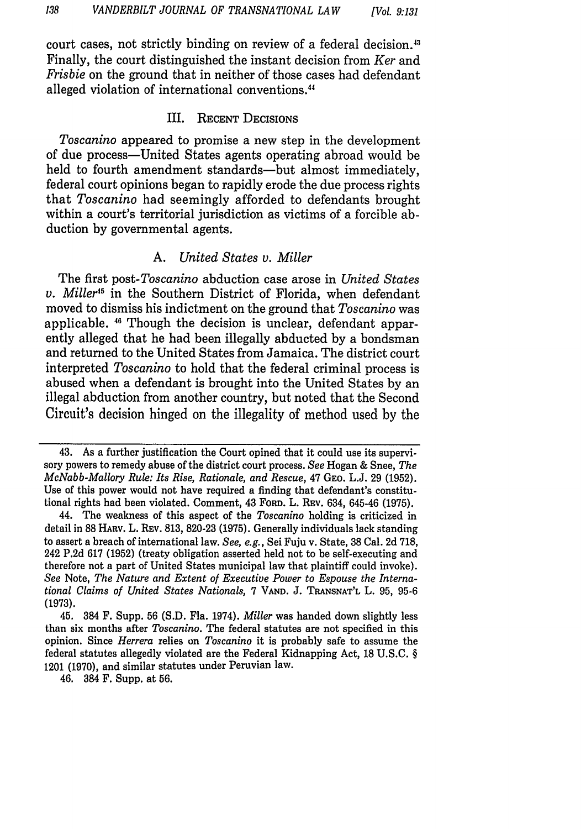court cases, not strictly binding on review of a federal decision.<sup>43</sup> Finally, the court distinguished the instant decision from *Ker* and *Frisbie* on the ground that in neither of those cases had defendant alleged violation of international conventions."

## Ill. RECENT DECISIONS

*Toscanino* appeared to promise a new step in the development of due process-United States agents operating abroad would be held to fourth amendment standards—but almost immediately, federal court opinions began to rapidly erode the due process rights that *Toscanino* had seemingly afforded to defendants brought within a court's territorial jurisdiction as victims of a forcible abduction by governmental agents.

#### *A. United States v. Miller*

The first *post-Toscanino* abduction case arose in *United States v. Miller"5* in the Southern District of Florida, when defendant moved to dismiss his indictment on the ground that *Toscanino* was applicable. 4" Though the decision is unclear, defendant apparently alleged that he had been illegally abducted by a bondsman and returned to the United States from Jamaica. The district court interpreted *Toscanino* to hold that the federal criminal process is abused when a defendant is brought into the United States by an illegal abduction from another country, but noted that the Second Circuit's decision hinged on the illegality of method used **by** the

46. 384 F. Supp. at 56.

<sup>43.</sup> As a further justification the Court opined that it could use its supervisory powers to remedy abuse of the district court process. *See* Hogan & Snee, *The McNabb-Mallory Rule: Its Rise, Rationale, and Rescue,* 47 GEo. L.J. 29 (1952). Use of this power would not have required a finding that defendant's constitutional rights had been violated. Comment, 43 FORD. L. REv. 634, 645-46 (1975).

<sup>44.</sup> The weakness of this aspect of the *Toscanino* holding is criticized in detail in 88 HARV, L. REv. 813, 820-23 (1975). Generally individuals lack standing to assert a breach of international law. *See, e.g.,* Sei Fuju v. State, 38 Cal. 2d 718, 242 P.2d **617** (1952) (treaty obligation asserted held not to be self-executing and therefore not a part of United States municipal law that plaintiff could invoke). *See* Note, *The Nature and Extent of Executive Power to Espouse the International Claims of United States Nationals,* 7 **VAND. J. TRANSNAT'L** L. 95, 95-6 **(1973).**

<sup>45. 384</sup> F. Supp. 56 (S.D. Fla. 1974). *Miller* was handed down slightly less than six months after *Toscanino.* The federal statutes are not specified in this opinion. Since *Herrera* relies on *Toscanino* it is probably safe to assume the federal statutes allegedly violated are the Federal Kidnapping Act, 18 U.S.C. § 1201 (1970), and similar statutes under Peruvian law.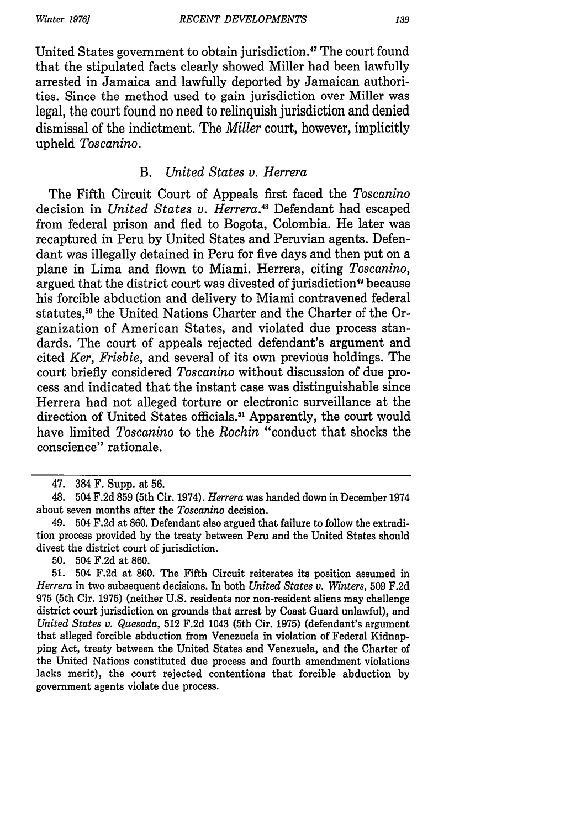*Winter 19761*

United States government to obtain jurisdiction.<sup>47</sup> The court found that the stipulated facts clearly showed Miller had been lawfully arrested in Jamaica and lawfully deported by Jamaican authorities. Since the method used to gain jurisdiction over Miller was legal, the court found no need to relinquish jurisdiction and denied dismissal of the indictment. The *Miller* court, however, implicitly upheld *Toscanino.*

### *B. United States v. Herrera*

The Fifth Circuit Court of Appeals first faced the *Toscanino* decision in *United States v. Herrera."* Defendant had escaped from federal prison and fled to Bogota, Colombia. He later was recaptured in Peru by United States and Peruvian agents. Defendant was illegally detained in Peru for five days and then put on a plane in Lima and flown to Miami. Herrera, citing *Toscanino,* argued that the district court was divested of jurisdiction<sup>49</sup> because his forcible abduction and delivery to Miami contravened federal statutes,<sup>50</sup> the United Nations Charter and the Charter of the Organization of American States, and violated due process standards. The court of appeals rejected defendant's argument and cited *Ker, Frisbie,* and several of its own previous holdings. The court briefly considered *Toscanino* without discussion of due process and indicated that the instant case was distinguishable since Herrera had not alleged torture or electronic surveillance at the direction of United States officials.<sup>51</sup> Apparently, the court would have limited *Toscanino* to the *Rochin* "conduct that shocks the conscience" rationale.

50. 504 F.2d at 860.

<sup>47. 384</sup> F. Supp. at 56.

<sup>48. 504</sup> F.2d 859 (5th Cir. 1974). *Herrera* was handed down in December 1974 about seven months after the *Toscanino* decision.

<sup>49. 504</sup> F.2d at 860. Defendant also argued that failure to follow the extradition process provided by the treaty between Peru and the United States should divest the district court of jurisdiction.

<sup>51. 504</sup> F.2d at 860. The Fifth Circuit reiterates its position assumed in *Herrera* in two subsequent decisions. In both *United States v. Winters,* 509 F.2d 975 (5th Cir. 1975) (neither U.S. residents nor non-resident aliens may challenge district court jurisdiction on grounds that arrest by Coast Guard unlawful), and *United States v. Quesada,* 512 F.2d 1043 (5th Cir. 1975) (defendant's argument that alleged forcible abduction from Venezuela in violation of Federal Kidnapping Act, treaty between the United States and Venezuela, and the Charter of the United Nations constituted due process and fourth amendment violations lacks merit), the court rejected contentions that forcible abduction by government agents violate due process.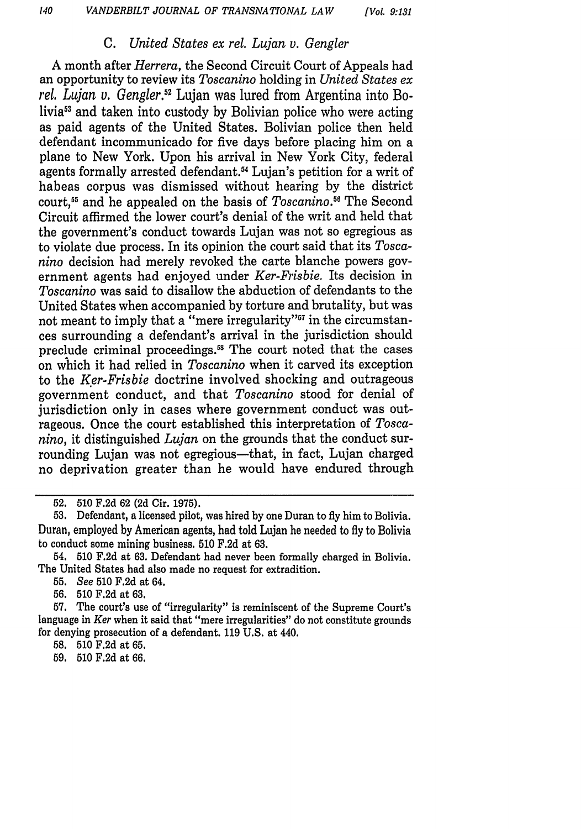### *C. United States ex rel. Lujan v. Gengler*

A month after *Herrera,* the Second Circuit Court of Appeals had an opportunity to review its *Toscanino* holding in *United States ex rel, Lujan v. Gengler.52* Lujan was lured from Argentina into Bolivia<sup>53</sup> and taken into custody by Bolivian police who were acting as paid agents of the United States. Bolivian police then held defendant incommunicado for five days before placing him on a plane to New York. Upon his arrival in New York City, federal agents formally arrested defendant.<sup>54</sup> Lujan's petition for a writ of habeas corpus was dismissed without hearing by the district court,<sup>55</sup> and he appealed on the basis of *Toscanino*.<sup>56</sup> The Second Circuit affirmed the lower court's denial of the writ and held that the government's conduct towards Lujan was not so egregious as to violate due process. In its opinion the court said that its *Toscanino* decision had merely revoked the carte blanche powers government agents had enjoyed under *Ker-Frisbie.* Its decision in *Toscanino* was said to disallow the abduction of defendants to the United States when accompanied by torture and brutality, but was not meant to imply that a "mere irregularity"<sup>57</sup> in the circumstances surrounding a defendant's arrival in the jurisdiction should preclude criminal proceedings.<sup>58</sup> The court noted that the cases on which it had relied in *Toscanino* when it carved its exception to the *Ker-Frisbie* doctrine involved shocking and outrageous government conduct, and that *Toscanino* stood for denial of jurisdiction only in cases where government conduct was outrageous. Once the court established this interpretation of *Toscanino,* it distinguished *Lujan* on the grounds that the conduct surrounding Lujan was not egregious-that, in fact, Lujan charged no deprivation greater than he would have endured through

56. 510 F.2d at 63.

57. The court's use of "irregularity" is reminiscent of the Supreme Court's language in *Ker* when it said that "mere irregularities" do not constitute grounds for denying prosecution of a defendant. 119 U.S. at 440.

58. 510 F.2d at 65.

59. 510 F.2d at 66.

**<sup>52.</sup>** 510 F.2d 62 (2d Cir. 1975).

<sup>53.</sup> Defendant, a licensed pilot, was hired by one Duran to fly him to Bolivia. Duran, employed by American agents, had told Lujan he needed to fly to Bolivia to conduct some mining business. 510 F.2d at 63.

<sup>54. 510</sup> F.2d at 63. Defendant had never been formally charged in Bolivia. The United States had also made no request for extradition.

<sup>55.</sup> See 510 F.2d at 64.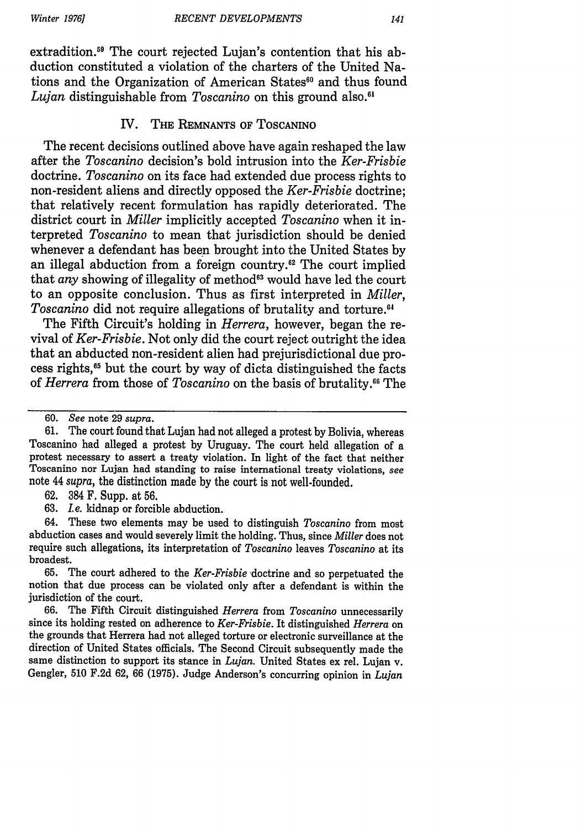extradition.59 The court rejected Lujan's contention that his abduction constituted a violation of the charters of the United Nations and the Organization of American States<sup>60</sup> and thus found *Lujan* distinguishable from *Toscanino* on this ground also.'

#### IV. THE REMNANTS OF ToSCANINO

The recent decisions outlined above have again reshaped the law after the *Toscanino* decision's bold intrusion into the *Ker-Frisbie* doctrine. *Toscanino* on its face had extended due process rights to non-resident aliens and directly opposed the *Ker-Frisbie* doctrine; that relatively recent formulation has rapidly deteriorated. The district court in *Miller* implicitly accepted *Toscanino* when it interpreted *Toscanino* to mean that jurisdiction should be denied whenever a defendant has been brought into the United States by an illegal abduction from a foreign country.<sup>62</sup> The court implied that *any* showing of illegality of method<sup>63</sup> would have led the court to an opposite conclusion. Thus as first interpreted in *Miller, Toscanino* did not require allegations of brutality and torture.<sup>64</sup>

The Fifth Circuit's holding in *Herrera,* however, began the revival of *Ker-Frisbie.* Not only did the court reject outright the idea that an abducted non-resident alien had prejurisdictional due process rights, 5 but the court by way of dicta distinguished the facts of *Herrera* from those of *Toscanino* on the basis of brutality.<sup>66</sup> The

63. *I.e.* kidnap or forcible abduction.

64. These two elements may be used to distinguish *Toscanino* from most abduction cases and would severely limit the holding. Thus, since *Miller* does not require such allegations, its interpretation of *Toscanino* leaves *Toscanino* at its broadest.

65. The court adhered to the *Ker-Frisbie* doctrine and so perpetuated the notion that due process can be violated only after a defendant is within the jurisdiction of the court.

66. The Fifth Circuit distinguished *Herrera* from *Toscanino* unnecessarily since its holding rested on adherence to *Ker-Frisbie.* It distinguished *Herrera* on the grounds that Herrera had not alleged torture or electronic surveillance at the direction of United States officials. The Second Circuit subsequently made the same distinction to support its stance in *Lujan.* United States ex rel. Lujan v. Gengler, 510 F.2d 62, 66 (1975). Judge Anderson's concurring opinion in *Lujan*

<sup>60.</sup> *See* note 29 *supra.*

<sup>61.</sup> The court found that Lujan had not alleged a protest by Bolivia, whereas Toscanino had alleged a protest by Uruguay. The court held allegation of a protest necessary to assert a treaty violation. In light of the fact that neither Toscanino nor Lujan had standing to raise international treaty violations, *see* note 44 *supra,* the distinction made by the court is not well-founded.

<sup>62. 384</sup> F. Supp. at 56.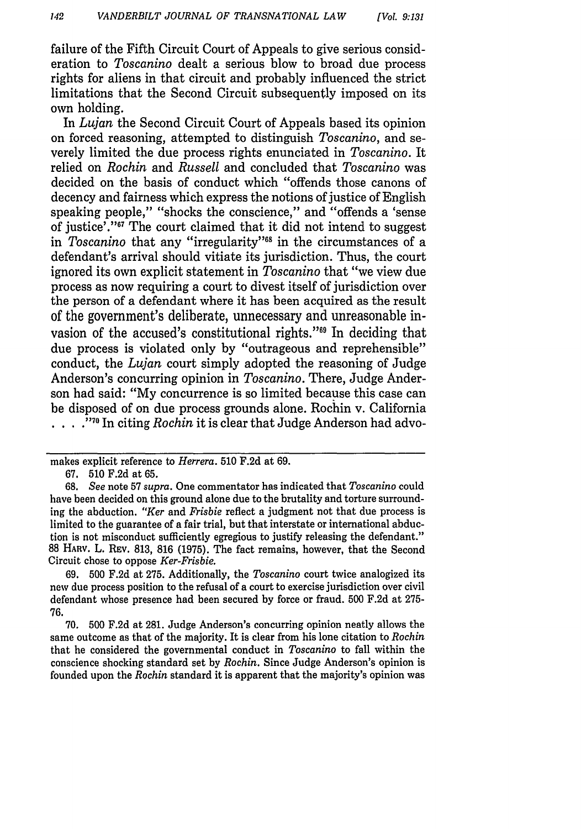failure of the Fifth Circuit Court of Appeals to give serious consideration to *Toscanino* dealt a serious blow to broad due process rights for aliens in that circuit and probably influenced the strict limitations that the Second Circuit subsequently imposed on its own holding.

In *Lujan* the Second Circuit Court of Appeals based its opinion on forced reasoning, attempted to distinguish *Toscanino,* and severely limited the due process rights enunciated in *Toscanino.* It relied on *Rochin* and *Russell* and concluded that *Toscanino* was decided on the basis of conduct which "offends those canons of decency and fairness which express the notions of justice of English speaking people," "shocks the conscience," and "offends a 'sense of justice'."<sup>67</sup> The court claimed that it did not intend to suggest in *Toscanino* that any "irregularity"<sup>68</sup> in the circumstances of a defendant's arrival should vitiate its jurisdiction. Thus, the court ignored its own explicit statement in *Toscanino* that "we view due process as now requiring a court to divest itself of jurisdiction over the person of a defendant where it has been acquired as the result of the government's deliberate, unnecessary and unreasonable invasion of the accused's constitutional rights."<sup>69</sup> In deciding that due process is violated only by "outrageous and reprehensible" conduct, the *Lujan* court simply adopted the reasoning of Judge Anderson's concurring opinion in *Toscanino.* There, Judge Anderson had said: "My concurrence is so limited because this case can be disposed of on due process grounds alone. Rochin v. California **. . '70** In citing *Rochin* it is clear that Judge Anderson had advo-

makes explicit reference to *Herrera.* 510 F.2d at 69.

<sup>67. 510</sup> F.2d at 65.

<sup>68.</sup> *See* note 57 *supra.* One commentator has indicated that *Toscanino* could have been decided on this ground alone due to the brutality and torture surrounding the abduction. *"Ker* and *Frisbie* reflect a judgment not that due process is limited to the guarantee of a fair trial, but that interstate or international abduction is not misconduct sufficiently egregious to justify releasing the defendant." 88 HARV. L. REV. 813, 816 (1975). The fact remains, however, that the Second Circuit chose to oppose *Ker-Frisbie.*

<sup>69. 500</sup> F.2d at 275. Additionally, the *Toscanino* court twice analogized its new due process position to the refusal of a court to exercise jurisdiction over civil defendant whose presence had been secured by force or fraud. 500 F.2d at 275- 76.

<sup>70. 500</sup> F.2d at 281. Judge Anderson's concurring opinion neatly allows the same outcome as that of the majority. It is clear from his lone citation to *Rochin* that he considered the governmental conduct in *Toscanino* to fall within the conscience shocking standard set by *Rochin.* Since Judge Anderson's opinion is founded upon the *Rochin* standard it is apparent that the majority's opinion was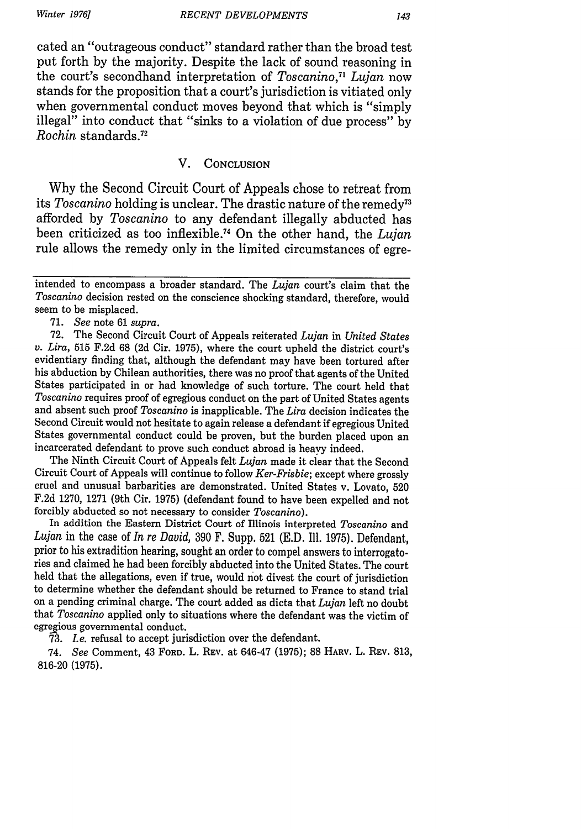*Winter 1976]*

cated an "outrageous conduct" standard rather than the broad test put forth by the majority. Despite the lack of sound reasoning in the court's secondhand interpretation of *Toscanino*,<sup>71</sup> Lujan now stands for the proposition that a court's jurisdiction is vitiated only when governmental conduct moves beyond that which is "simply illegal" into conduct that "sinks to a violation of due process" by *Rochin* standards. <sup>72</sup>

## V. **CONCLUSION**

Why the Second Circuit Court of Appeals chose to retreat from its *Toscanino* holding is unclear. The drastic nature of the remedy<sup>73</sup> afforded by *Toscanino* to any defendant illegally abducted has been criticized as too inflexible. 74 On the other hand, the *Lujan* rule allows the remedy only in the limited circumstances of egre-

71. *See* note 61 *supra.*

72. The Second Circuit Court of Appeals reiterated *Lujan* in *United States v. Lira,* 515 F.2d 68 (2d Cir. 1975), where the court upheld the district court's evidentiary finding that, although the defendant may have been tortured after his abduction by Chilean authorities, there was no proof that agents of the United States participated in or had knowledge of such torture. The court held that *Toscanino* requires proof of egregious conduct on the part of United States agents and absent such proof *Toscanino* is inapplicable. The *Lira* decision indicates the Second Circuit would not hesitate to again release a defendant if egregious United States governmental conduct could be proven, but the burden placed upon an incarcerated defendant to prove such conduct abroad is heayy indeed.

The Ninth Circuit Court of Appeals felt *Lujan* made it clear that the Second Circuit Court of Appeals will continue to follow *Ker-Frisbie;* except where grossly cruel and unusual barbarities are demonstrated. United States v. Lovato, 520 F.2d 1270, 1271 (9th Cir. 1975) (defendant found to have been expelled and not forcibly abducted so not necessary to consider *Toscanino).*

In addition the Eastern District Court of Illinois interpreted *Toscanino* and *Lujan* in the case of *In re David,* 390 F. Supp. 521 (E.D. Ill. 1975). Defendant, prior to his extradition hearing, sought an order to compel answers to interrogatories and claimed he had been forcibly abducted into the United States. The court held that the allegations, even if true, would not divest the court of jurisdiction to determine whether the defendant should be returned to France to stand trial on a pending criminal charge. The court added as dicta that *Lujan* left no doubt that *Toscanino* applied only to situations where the defendant was the victim of egregious governmental conduct.

*3. Le.* refusal to accept jurisdiction over the defendant.

74. *See* Comment, 43 FORD. L. **REV.** at 646-47 **(1975);** 88 HARV. L. REv. 813, 816-20 (1975).

intended to encompass a broader standard. The *Lujan* court's claim that the *Toscanino* decision rested on the conscience shocking standard, therefore, would seem to be misplaced.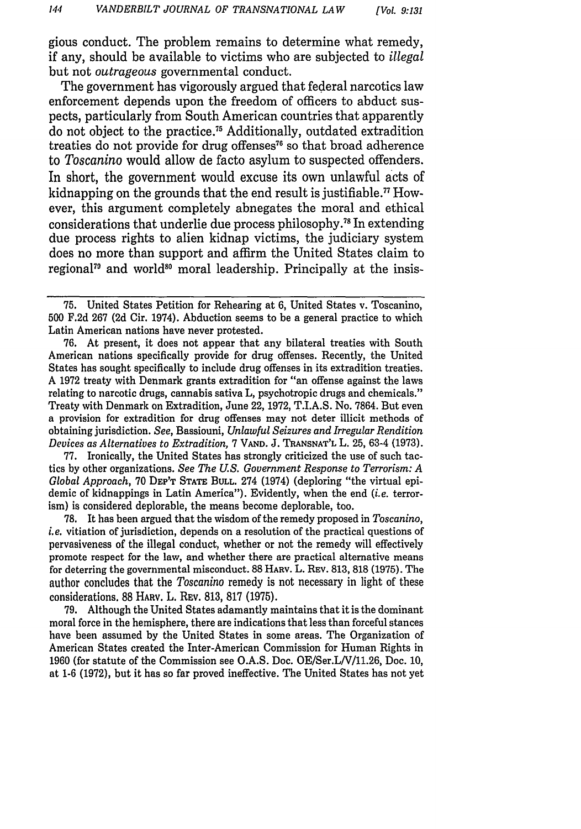gious conduct. The problem remains to determine what remedy, if any, should be available to victims who are subjected to *illegal* but not *outrageous* governmental conduct.

The government has vigorously argued that federal narcotics law enforcement depends upon the freedom of officers to abduct suspects, particularly from South American countries that apparently do not object to the practice." Additionally, outdated extradition treaties do not provide for drug offenses<sup>76</sup> so that broad adherence to *Toscanino* would allow de facto asylum to suspected offenders. In short, the government would excuse its own unlawful acts of kidnapping on the grounds that the end result is justifiable.<sup> $\pi$ </sup> However, this argument completely abnegates the moral and ethical considerations that underlie due process philosophy.<sup>78</sup> In extending due process rights to alien kidnap victims, the judiciary system does no more than support and affirm the United States claim to regional<sup>79</sup> and world<sup>80</sup> moral leadership. Principally at the insis-

76. At present, it does not appear that any bilateral treaties with South American nations specifically provide for drug offenses. Recently, the United States has sought specifically to include drug offenses in its extradition treaties. A 1972 treaty with Denmark grants extradition for "an offense against the laws relating to narcotic drugs, cannabis sativa L, psychotropic drugs and chemicals." Treaty with Denmark on Extradition, June 22, 1972, T.I.A.S. No. 7864. But even a provision for extradition for drug offenses may not deter illicit methods of obtaining jurisdiction. *See,* Bassiouni, *Unlawful Seizures and Irregular Rendition Devices as Alternatives to Extradition,* 7 **VAND.** J. **TRANSNAT'L** L. 25, 63-4 (1973).

77. Ironically, the United States has strongly criticized the use of such tactics by other organizations. *See The U.S. Government Response to Terrorism: A Global Approach,* 70 **DEP'T STATE BULL.** 274 (1974) (deploring "the virtual epidemic of kidnappings in Latin America"). Evidently, when the end *(i.e.* terrorism) is considered deplorable, the means become deplorable, too.

78. It has been argued that the wisdom of the remedy proposed in *Toscanino, i.e.* vitiation of jurisdiction, depends on a resolution of the practical questions of pervasiveness of the illegal conduct, whether or not the remedy will effectively promote respect for the law, and whether there are practical alternative means for deterring the governmental misconduct. 88 HARV. L. REv. 813, 818 (1975). The author concludes that the *Toscanino* remedy is not necessary in light of these considerations. 88 HARV. L. REV. 813, 817 (1975).

79. Although the United States adamantly maintains that it is the dominant moral force in the hemisphere, there are indications that less than forceful stances have been assumed by the United States in some areas. The Organization of American States created the Inter-American Commission for Human Rights in 1960 (for statute of the Commission see O.A.S. Doc. OE/Ser.LN/11.26, Doc. 10, at 1-6 (1972), but it has so far proved ineffective. The United States has not yet

<sup>75.</sup> United States Petition for Rehearing at 6, United States v. Toscanino, 500 F.2d 267 (2d Cir. 1974). Abduction seems to be a general practice to which Latin American nations have never protested.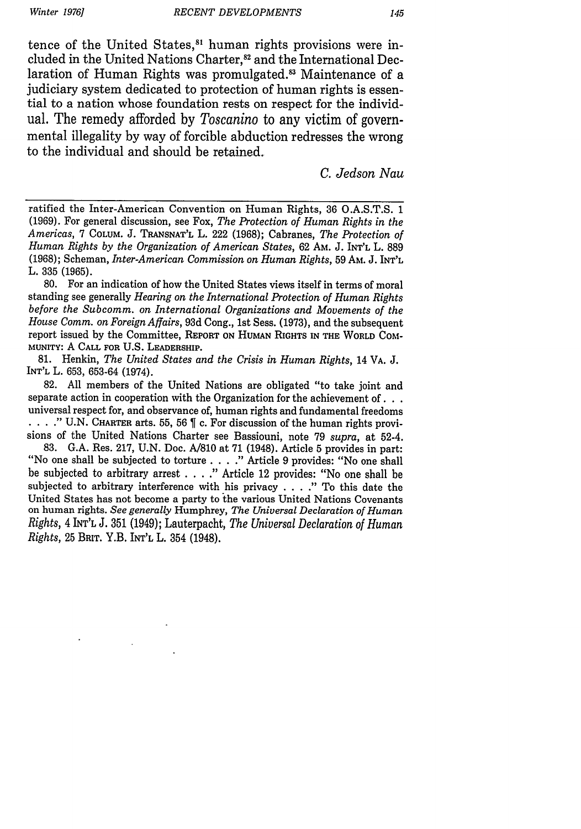*Winter 1976]*

tence of the United States,<sup>81</sup> human rights provisions were included in the United Nations Charter,<sup>82</sup> and the International Declaration of Human Rights was promulgated.<sup>83</sup> Maintenance of a judiciary system dedicated to protection of human rights is essential to a nation whose foundation rests on respect for the individual. The remedy afforded by *Toscanino* to any victim of governmental illegality by way of forcible abduction redresses the wrong to the individual and should be retained.

*C. Jedson Nau*

ratified the Inter-American Convention on Human Rights, 36 O.A.S.T.S. 1 (1969). For general discussion, see Fox, *The Protection of Human Rights in the Americas,* 7 COLUM. J. **TRANSNAT'L** L. 222 (1968); Cabranes, *The Protection of Human Rights by the Organization of American States,* 62 AM. J. INT'L L. 889 (1968); Scheman, *Inter-American Commission on Human Rights,* 59 Am. J. INT'L L. 335 **(1965).**

80. For an indication of how the United States views itself in terms of moral standing see generally *Hearing on the International Protection of Human Rights before the Subcomm. on International Organizations and Movements of the House Comm. on Foreign Affairs,* 93d Cong., 1st Sess. (1973), and the subsequent report issued by the Committee, REPORT ON **HUMAN** RIGHTS **IN** THE WORLD COMmUNITY: A **CALL FOR** U.S. LEADERSHIP.

81. Henkin, *The United States and the Crisis in Human Rights,* 14 VA. J. INT'L L. 653, 653-64 (1974).

82. All members of the United Nations are obligated "to take joint and separate action in cooperation with the Organization for the achievement **of...** universal respect for, and observance of, human rights and fundamental freedoms . . . . " U.N. CHARTER arts. 55, 56  $\parallel$  c. For discussion of the human rights provisions of the United Nations Charter see Bassiouni, note 79 *supra,* at 52-4.

83. G.A. Res. 217, U.N. Doc. A/810 at 71 (1948). Article **5** provides in part: "No one shall be subjected to torture . **. . ."** Article 9 provides: "No one shall be subjected to arbitrary arrest . **. . ."** Article 12 provides: "No one shall be subjected to arbitrary interference with his privacy . **. . ."** To this date the United States has not become a party to the various United Nations Covenants on human rights. *See generally* Humphrey, *The Universal Declaration of Human Rights,* 4 INT'L J. 351 (1949); Lauterpacht, *The Universal Declaration of Human Rights,* 25 **BRIT.** Y.B. **INT'L** L. 354 (1948).